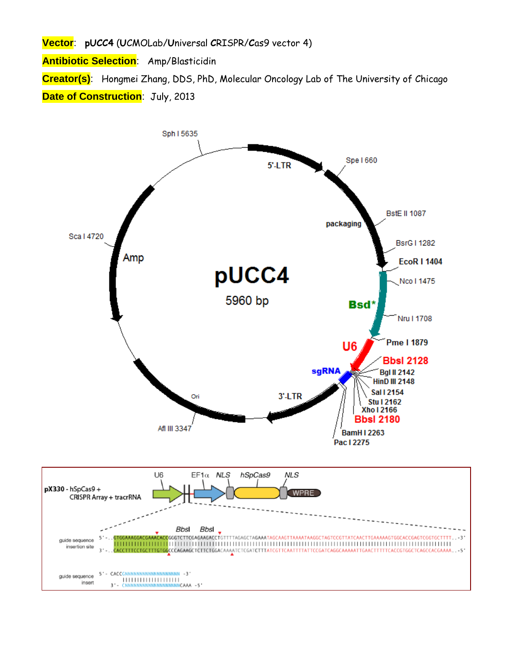**Vector**: **pUCC4** (**U**CMOLab/**U**niversal **C**RISPR/**C**as9 vector 4)

**Antibiotic Selection**: Amp/Blasticidin

**Creator(s)**: Hongmei Zhang, DDS, PhD, Molecular Oncology Lab of The University of Chicago **Date of Construction: July, 2013** 

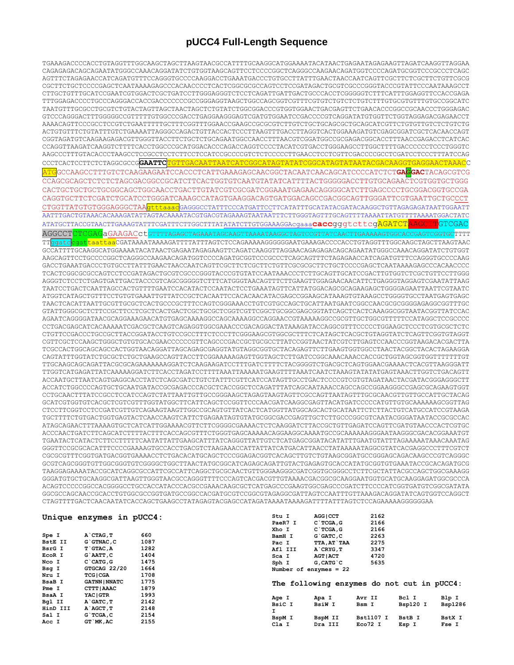## pUCC4 Full-Length Sequence

TGAAAGACCCCACCTGTAGGTTTGGCAAGCTAGCTTAAGTAACGCCATTTTGCAAGGCATGGAAAATACATAACTGAGAATAGAGAAGTTAGATCAAGGTTAGGAA CAGAGAGACAGCAGAATATGGGCCAAACAGGATATCTGTGGTAAGCAGTTCCTCCCCGGCTCAGGGCCAAGAACAGATGGTCCCCAGATGCGGTCCCGCCCTCAGC AGTTTCTAGAGAACCATCAGATGTTTCCAGGGTGCCCCAAGGACCTGAAATGACCCTGTGCCTTATTTGAACTAACCAATCAGTTCGCTTCTCGCTTCTGTTCGCG CGCTTCTGCTCCCCGAGCTCAATAAAAGAGCCCACAACCCCTCACTCGGCGCGCAGTCCTCCGATAGACTGCGTCGCCCGGGTACCCGTATTCCCAATAAAGCCT TAATGTTTGCGCCTGCGTCTGTACTAGTTAGCTAACTAGCTCTGTATCTGGCGGACCCGTGGTGGAACTGACGAGTTCTGAACACCCGGCCGAACCCTGGGAGAC GTCCCAGGGACTTTGGGGGCCCGTTTTTGTGGCCCGACCTGAGGAAGGGAGTCGATGTGGAATCCGACCCCGTCAGGATATGTGGTTCTGGTAGGAGACGAGAACCT ACTGTGTTTTCTGTATTTTGTCTGAAAATTAGGGCCAGACTGTTACCACTTTAAGTTTGACCTTAGGTCACTGGAAAGATGTCGAGCGGATCGCTCACAACCAGT  ${\tt CCGGGTTAAGATCAAGGTCTTTTTCACCTGGCCCGCATGGACACCCGACCAGGTCCCCTACATCGTGACCTGGGAGCCTTGGCTTTGACCCCCCCTCCCCTGGGTCCCTGGGTCC$  ${\tt CCTCACTCCTTCTCTAGGCGCCGGAATTCTGTTGACAATTAATCATCGGCATAGTATATCGGCATAGTATAATACGACAAGGTGAGGAACTAAACC$ ATGGCCAAGCCTTTGTCTCAAGAAGAATCCACCCTCATTGAAAGAGCAACGGCTACAATCAACAGCATCCCCATCTCTGAGGACTACAGCGTCG CCAGCGCAGCTCTCTCTAGCGACGGCCGCATCTTCACTGGTGTCAATGTATATCATTTTACTGGGGGACCTTGTGCAGAACTCGTGGTGCTGGG CACTGCTGCTGCTGCGGCAGCTGGCAACCTGACTTGTATCGTCGCGATCGGAAATGAGAACAGGGGCATCTTGAGCCCCTGCGGACGGTGCCGA  ${\tt CAGGTGCTTCTCGATCTGGATCCTGGAAAGCCATAGTGAAGGACAGTGAGCGACAGCGACGGGATTGGGATTCGTAATTGCTGCCCTATGAGGATAGGACAGCGACAGCTGGGATTGGGAATTGCTGCCCTATGAGGACAGTGAGGGACAGCGAGTAGGGATTGGGAATTGCTGCCCT$ CTGGTTATGTGGGAGGGCTAAGtttaaacGAGGCCTATTTCCCATGATTCCTTCATATTTGCATATACGATACAAGGCTGTTAGAGAGATAATTGGAATT AATTTGACTGTAAACACAAAGATATTAGTACAAAATACGTGACGTAGAAAGTAATATTTCTTGGGTAGTTTGCAGTTTTAAAATTATGTTTTAAAATGGACTATC ATATGCTTACCGTAACTTGAAAGTATTTCGATTTCTTGGCTTTATATATCTTGTGGAAAGGAcgaaa**cacc**gggtcttcg<mark>AGATCTAAGCTT</mark>GTCGAC AGGCCTCTCGAGaGAAGACctGTTTTAGAGCTAGAAATAGCAAGTTAAAATAAGGCTAGTCCGTTATCAACTTGAAAAAGTGGCACCGAGTCGGTGCTTTT GCCATTTTGCAAGGCATGGAAAATACATAACTGAGAATAGAGAAGTTCAGATCAAGGTTAGGAACAGAGAGACAGCAGAATATGGGCCAAACAGGATATCTGTGGT AAGCAGTTCCTGCCCCGGCTCAGGGCCAAGAACAGATGCTCCCCAGATGCGGTCCCGCCCTCAGCAGTTTCTAGAGAACCATCAGATGTTTCCAGGGTGCCCCAAG GACCTGAAATGACCCTGTGCCTTATTTGAACTAACCAATCAGTTCGCTTCTCGCTTCTGTTCGCGCGCTTCTGCTCCCCGAGCTCAATAAAAGAGCCCACAACCCC TCACTCGGCGCGCCAGTCCTCCGATAGACTGCGTCGCCCGGGTACCCGTGTATCCAATAAACCCTCTTGCAGTTGCATCCGACTTGTGGTCTCGCTGTTCCTTGGG AGGGTCTCCTCTGAGTGATTGACTACCCGTCAGCGGGGGTCTTTCATGGGTAACAGTTTCTTGAAGTTGGAGAACAACATTCTGAGGGTAGGAGTCGAATATTAAG TAACTCACATTAATTGCGTTGCGCTCACTGCCCGCTTTCCAGTCGGGAAACCTGTCGTGCCAGCTGCATTAATGAATCGGCCAACGCGCGGGAGAGGCGGTTTGC AGAATCAGGGGATAACGCAGGAAAGAACATGTGAGCAAAAGGCCAGCAAAAGGCCAGGAACCGTAAAAAGGCCGCGTTGCTGGCGTTTTTCCATAGGCTCCGCCC CCTGACGAGCATCACAAAAATCGACGCTCAAGTCAGAGGTGGCGAAACCCGACAGGACTATAAAGATACCAGGCGTTTCCCCCTGGAAGCTCCCTCGTGCGCTCTC CTGTTCCGACCCTGCCGCTTACCGGATACCTGTCCGCCTTTCTCCCTTCGGGAAGCGTGGCGCTTTCTCATAGCTCACGCTGTAGGTATCTCAGTTCGGTGTAGGT CGTTCGCTCCAAGCTGGGCTGTGTGCACGAACCCCCCGTTCAGCCCGACCGCTGCGCCTTATCCGGTAACTATCGTCTTGAGTCCAACCCGGTAAGACACGACTTA TCGCCACTGGCAGCAGCACTGGTAACAGGATTAGCAGAGCGAGGTATGTAGGCGGTGCTACAGAGTTCTTGAAGTGGTGGCCTAACTACGGCTACACTAGAAGGA TTGCAAGCAGCAGATTACGCGCAGAAAAAAAGGATCTCAAGAAGATCCTTTGATCTTTTCTACGGGGTCTGACGCTCAGTGGAACGAAAACTCACGTTAAGGGATT ACCAATGCTTAATCAGTGAGGCACCTATCTCAGCGATCTGTCTATTTCGTTCATCCATAGTTGCCTGACTCCCCGTCGTGTAGATAACTACGGATACGGGAGGCTT  ${\tt ACCATCTGGCCCCAGTGCTCGAATGATACCGCGAGACCCCACGCTCCACGCTCCAGATTTTACAGCAAATAAACCGCCAGCCCGAAGGGCCGAGCGCAGAGTGGTTACCGGATGATGCTGAAAGGCGCAGAGCGCAGCGAGCGAAGTGGT$  ${\tt CTCCTTCGGTCCTCGATCGTTGTCAGAAGTAGTTCGCCGGCAGTGTTATCACTCATGGTTATGGCACTCGCTAAATTCTCTTACTGCATGCCATCCGTAAGA$ TGCTTTTCTGTGACTGGTGAGTACTCAACCAAGTCATTCTGAGAATAGTGTATGCGGCGACCGAGTTGCTCTTGCCCGGCGTCAATACGGGATAATACCGCGCCAC ATAGCAGAACTTTAAAAGTGCTCATCATCGAAAACGTTCTCGGGGCGAAAACTCTCAAGGATCTTACCGCTGTTGAGATCCAGTTCGATGTAACCCACTCGTGC ACCCAACTGATCTTCAGCATCTTTTACTTTCACCAGCGTTTCTGGGTGAGCAAAAACAGGAAGGCAAAATGCCGCAAAAAAGGGAATAAGGGCGACACGGAAATGT TGAATACTCATACTCTTTCCTTTTCAATATTATTGAAGCATTTATCAGGGTTATTGTCTCATGAGCGGATACATATTTGAATGTATTTAGAAAAATAAACAAATAG GGGTTCCGCGCACATTTCCCCGAAAAGTGCCACCTGACGTCTAAGAAACCATTATTATCATGACATTAACCTATAAAAATAGGCGTATCACGAGGCCCTTTCGTCT CGCGCGTTTCGGTGATGACGGTGAAAACCTCTGACACATGCAGCTCCCGGAGACGGTCACAGCTTGTCTGTAAGCGGATGCCGGGAGCAGACAAGCCCGTCAGGGC GCGTCAGCGGGTGTTGGCGGGTGTCGGGGCTGGCTTAACTATGCGGCATCAGAGCAGATTGTACTGAGAGTGCACCATATGCGGTGTGAAATACCGCACAGATGCG TAAGGAGAAAAATACCGCATCAGGCGCCATTCGCCATTCAGGCTGCGAACTGTTGGGAAGGGCGATCGGTGCGGCCTCTTCGCTATTACGCCAGCTGGCGAAAGG 

|  | Unique enzymes in pUCC4: |  |  |  |
|--|--------------------------|--|--|--|
|--|--------------------------|--|--|--|

| Spe I          | A CTAG, T            | 660  |
|----------------|----------------------|------|
| <b>BstE II</b> | G`GTNAC.C            | 1087 |
| BsrG I         | T GTAC, A            | 1282 |
| EcoR I         | G`AATT.C             | 1404 |
| Nco I          | $C$ $CATG$ , $G$     | 1475 |
| Bsg I          | GTGCAG 22/20         | 1664 |
| Nru I          | <b>TCGICGA</b>       | 1708 |
| <b>BsaB</b> I  | <b>GATNN   NNATC</b> | 1775 |
| Pme I          | CTTT   AAAC          | 1879 |
| <b>BsaA I</b>  | <b>YACIGTR</b>       | 1993 |
| Bgl II         | A GATC. T            | 2142 |
| HinD III       | A AGCT. T            | 2148 |
| Sal I          | G`TCGA, C            | 2154 |
| Acc I          | GT `MK, AC           | 2155 |

| Stu I         | <b>AGG   CCT</b>       | 2162 |
|---------------|------------------------|------|
| PaeR7 I       | C`TCGA, G              | 2166 |
| Kho I         | C TCGA.G               | 2166 |
| <b>BamH I</b> | G`GATC, C              | 2263 |
| Pac I         | TTA, AT`TAA            | 2275 |
| Afl III       | A CRYG, T              | 3347 |
| Sca I         | <b>AGT   ACT</b>       | 4720 |
| Sph I         | G.CATG'C               | 5635 |
|               | Number of enzymes = 22 |      |

|  | The following enzymes do not cut in pUCC4: |  |  |  |  |  |  |
|--|--------------------------------------------|--|--|--|--|--|--|
|--|--------------------------------------------|--|--|--|--|--|--|

| Age I<br>BsiC I<br>I | Apa I<br><b>BsiW I</b> | Avr II<br>Bsm I  | Bcl I<br>Bsp120 I | Blp I<br><b>Bsp1286</b> |
|----------------------|------------------------|------------------|-------------------|-------------------------|
| BspM I               | BspM II                | <b>Bst1107 I</b> | <b>BstB</b> I     | <b>BstX I</b>           |
| Cla I                | Dra III                | Eco72 I          | Esp I             | Fse I                   |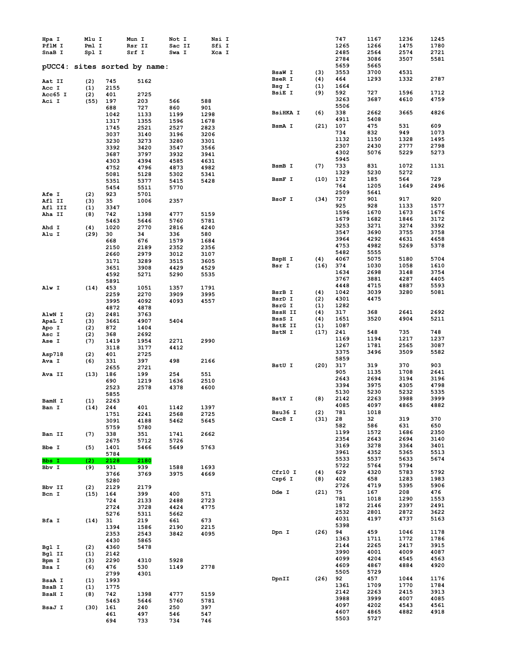| Hpa I         | Mlu I |      | Mun I                        | Not I  | Nsi I |                 |      | 747  | 1167 | 1236 | 1245 |
|---------------|-------|------|------------------------------|--------|-------|-----------------|------|------|------|------|------|
| PflM I        | Pml I |      | Rsr II                       | Sac II | Sfi I |                 |      | 1265 | 1266 | 1475 | 1780 |
| SnaB I        | Spl I |      | Srf I                        | Swa I  | Xca I |                 |      | 2485 | 2564 | 2574 | 2721 |
|               |       |      |                              |        |       |                 |      | 2784 | 3086 | 3507 | 5581 |
|               |       |      |                              |        |       |                 |      |      |      |      |      |
|               |       |      | pUCC4: sites sorted by name: |        |       |                 |      | 5659 | 5665 |      |      |
|               |       |      |                              |        |       | BsaW I          | (3)  | 3553 | 3700 | 4531 |      |
| Aat II        | (2)   | 745  | 5162                         |        |       | BseR I          | (4)  | 464  | 1293 | 1332 | 2787 |
| Acc I         | (1)   | 2155 |                              |        |       | Bsg I           | (1)  | 1664 |      |      |      |
| Acc65 I       | (2)   | 401  | 2725                         |        |       | <b>BsiE I</b>   | (9)  | 592  | 727  | 1596 | 1712 |
|               |       |      |                              |        |       |                 |      | 3263 | 3687 | 4610 | 4759 |
| Aci I         | (55)  | 197  | 203                          | 566    | 588   |                 |      | 5506 |      |      |      |
|               |       | 688  | 727                          | 860    | 901   |                 |      |      |      |      |      |
|               |       | 1042 | 1133                         | 1199   | 1298  | <b>BsiHKA I</b> | (6)  | 338  | 2662 | 3665 | 4826 |
|               |       | 1317 | 1355                         | 1596   | 1678  |                 |      | 4911 | 5408 |      |      |
|               |       | 1745 | 2521                         | 2527   | 2823  | BsmA I          | (21) | 107  | 475  | 531  | 609  |
|               |       | 3037 | 3140                         | 3196   | 3206  |                 |      | 734  | 832  | 949  | 1073 |
|               |       | 3230 | 3273                         | 3280   | 3301  |                 |      | 1132 | 1150 | 1328 | 1495 |
|               |       |      |                              |        |       |                 |      | 2307 | 2430 | 2777 | 2798 |
|               |       | 3392 | 3420                         | 3547   | 3566  |                 |      | 4302 | 5076 | 5229 | 5273 |
|               |       | 3687 | 3797                         | 3932   | 3941  |                 |      | 5945 |      |      |      |
|               |       | 4303 | 4394                         | 4585   | 4631  |                 |      |      |      |      |      |
|               |       | 4752 | 4796                         | 4873   | 4982  | BsmB I          | (7)  | 733  | 831  | 1072 | 1131 |
|               |       | 5081 | 5128                         | 5302   | 5341  |                 |      | 1329 | 5230 | 5272 |      |
|               |       | 5351 | 5377                         | 5415   | 5428  | BsmF I          | (10) | 172  | 185  | 564  | 729  |
|               |       | 5454 | 5511                         | 5770   |       |                 |      | 764  | 1205 | 1649 | 2496 |
| <b>Afe I</b>  | (2)   | 923  | 5701                         |        |       |                 |      | 2509 | 5641 |      |      |
|               |       |      |                              |        |       | BsoF I          | (34) | 727  | 901  | 917  | 920  |
| Afl II        | (3)   | 35   | 1006                         | 2357   |       |                 |      | 925  | 928  | 1133 | 1577 |
| Afl III       | (1)   | 3347 |                              |        |       |                 |      |      |      |      |      |
| Aha II        | (8)   | 742  | 1398                         | 4777   | 5159  |                 |      | 1596 | 1670 | 1673 | 1676 |
|               |       | 5463 | 5646                         | 5760   | 5781  |                 |      | 1679 | 1682 | 1846 | 3172 |
| Ahd I         | (4)   | 1020 | 2770                         | 2816   | 4240  |                 |      | 3253 | 3271 | 3274 | 3392 |
| Alu I         | (29)  | 30   | 34                           | 336    | 580   |                 |      | 3547 | 3690 | 3755 | 3758 |
|               |       |      |                              |        |       |                 |      | 3964 | 4292 | 4631 | 4658 |
|               |       | 668  | 676                          | 1579   | 1684  |                 |      | 4753 | 4982 | 5269 | 5378 |
|               |       | 2150 | 2189                         | 2352   | 2356  |                 |      | 5482 | 5555 |      |      |
|               |       | 2660 | 2979                         | 3012   | 3107  |                 |      |      |      |      |      |
|               |       | 3171 | 3289                         | 3515   | 3605  | BspH I          | (4)  | 4067 | 5075 | 5180 | 5704 |
|               |       | 3651 | 3908                         | 4429   | 4529  | Bsr I           | (16) | 374  | 1030 | 1058 | 1610 |
|               |       | 4592 | 5271                         | 5290   | 5535  |                 |      | 1634 | 2698 | 3148 | 3754 |
|               |       | 5891 |                              |        |       |                 |      | 3767 | 3881 | 4287 | 4405 |
|               |       |      |                              |        |       |                 |      | 4448 | 4715 | 4887 | 5593 |
| Alw I         | (14)  | 453  | 1051                         | 1357   | 1791  |                 |      | 1042 | 3039 | 3280 | 5081 |
|               |       | 2259 | 2270                         | 3909   | 3995  | BsrB I          | (4)  |      |      |      |      |
|               |       | 3995 | 4092                         | 4093   | 4557  | BsrD I          | (2)  | 4301 | 4475 |      |      |
|               |       | 4872 | 4878                         |        |       | BsrG I          | (1)  | 1282 |      |      |      |
| AlwN I        | (2)   | 2481 | 3763                         |        |       | <b>BssH II</b>  | (4)  | 317  | 368  | 2641 | 2692 |
| ApaL I        | (3)   | 3661 | 4907                         | 5404   |       | BssS I          | (4)  | 1651 | 3520 | 4904 | 5211 |
|               |       |      |                              |        |       | BstE II         | (1)  | 1087 |      |      |      |
| Apo I         | (2)   | 872  | 1404                         |        |       | BstN I          | (17) | 241  | 548  | 735  | 748  |
| Asc I         | (2)   | 368  | 2692                         |        |       |                 |      |      |      |      |      |
| Ase I         | (7)   | 1419 | 1954                         | 2271   | 2990  |                 |      | 1169 | 1194 | 1217 | 1237 |
|               |       | 3118 | 3177                         | 4412   |       |                 |      | 1267 | 1781 | 2565 | 3087 |
| Asp718        | (2)   | 401  | 2725                         |        |       |                 |      | 3375 | 3496 | 3509 | 5582 |
| Ava I         | (6)   | 331  | 397                          | 498    | 2166  |                 |      | 5859 |      |      |      |
|               |       |      |                              |        |       | BstU I          | (20) | 317  | 319  | 370  | 903  |
|               |       | 2655 | 2721                         |        |       |                 |      | 905  | 1135 | 1708 | 2641 |
| Ava II        | (13)  | 186  | 199                          | 254    | 551   |                 |      |      |      |      |      |
|               |       | 690  | 1219                         | 1636   | 2510  |                 |      | 2643 | 2694 | 3194 | 3196 |
|               |       | 2523 | 2578                         | 4378   | 4600  |                 |      | 3394 | 3975 | 4305 | 4798 |
|               |       | 5855 |                              |        |       |                 |      | 5130 | 5230 | 5232 | 5335 |
| BamH I        | (1)   | 2263 |                              |        |       | BstY I          | (8)  | 2142 | 2263 | 3988 | 3999 |
|               |       | 244  | 401                          | 1142   | 1397  |                 |      | 4085 | 4097 | 4865 | 4882 |
| Ban I         | (14)  |      |                              |        |       | Bsu36 I         | (2)  | 781  | 1018 |      |      |
|               |       | 1751 | 2241                         | 2568   | 2725  | Cac8 I          |      |      |      | 319  | 370  |
|               |       | 3091 | 4188                         | 5462   | 5645  |                 | (31) | 28   | 32   |      |      |
|               |       | 5759 | 5780                         |        |       |                 |      | 582  | 586  | 631  | 650  |
| Ban II        | (7)   | 338  | 351                          | 1741   | 2662  |                 |      | 1199 | 1572 | 1686 | 2350 |
|               |       | 2675 | 5712                         | 5726   |       |                 |      | 2354 | 2643 | 2694 | 3140 |
| Bbe I         | (5)   | 1401 | 5466                         | 5649   | 5763  |                 |      | 3169 | 3278 | 3364 | 3401 |
|               |       |      |                              |        |       |                 |      | 3961 | 4352 | 5365 | 5513 |
|               |       | 5784 |                              |        |       |                 |      | 5533 | 5537 | 5633 | 5674 |
| Bbs I         | (2)   | 2128 | 2180                         |        |       |                 |      | 5722 | 5764 | 5794 |      |
| Bbv I         | (9)   | 931  | 939                          | 1588   | 1693  |                 |      |      |      |      |      |
|               |       | 3766 | 3769                         | 3975   | 4669  | Cfr10 I         | (4)  | 629  | 4320 | 5783 | 5792 |
|               |       | 5280 |                              |        |       | Csp6 I          | (8)  | 402  | 658  | 1283 | 1983 |
| Bbv II        | (2)   | 2129 | 2179                         |        |       |                 |      | 2726 | 4719 | 5395 | 5906 |
| Bcn I         | (15)  | 164  | 399                          | 400    | 571   | Dde I           | (21) | 75   | 167  | 208  | 476  |
|               |       |      |                              |        |       |                 |      | 781  | 1018 | 1290 | 1553 |
|               |       | 724  | 2133                         | 2488   | 2723  |                 |      | 1872 | 2146 | 2397 | 2491 |
|               |       | 2724 | 3728                         | 4424   | 4775  |                 |      |      |      |      |      |
|               |       | 5276 | 5311                         | 5662   |       |                 |      | 2532 | 2801 | 2872 | 3622 |
| Bfa I         | (14)  | 31   | 219                          | 661    | 673   |                 |      | 4031 | 4197 | 4737 | 5163 |
|               |       | 1394 | 1586                         | 2190   | 2215  |                 |      | 5398 |      |      |      |
|               |       | 2353 | 2543                         | 3842   | 4095  | Dpn I           | (26) | 94   | 459  | 1046 | 1178 |
|               |       |      |                              |        |       |                 |      | 1363 | 1711 | 1772 | 1786 |
|               |       | 4430 | 5865                         |        |       |                 |      | 2144 | 2265 | 2417 | 3915 |
| Bgl I         | (2)   | 4360 | 5478                         |        |       |                 |      |      |      |      |      |
| Bgl II        | (1)   | 2142 |                              |        |       |                 |      | 3990 | 4001 | 4009 | 4087 |
| Bpm I         | (3)   | 2290 | 4310                         | 5928   |       |                 |      | 4099 | 4204 | 4545 | 4563 |
| Bsa I         | (6)   | 476  | 530                          | 1149   | 2778  |                 |      | 4609 | 4867 | 4884 | 4920 |
|               |       | 2799 | 4301                         |        |       |                 |      | 5505 | 5729 |      |      |
|               |       |      |                              |        |       | DpnII           | (26) | 92   | 457  | 1044 | 1176 |
| <b>BsaA I</b> | (1)   | 1993 |                              |        |       |                 |      | 1361 | 1709 | 1770 | 1784 |
| <b>BsaB</b> I | (1)   | 1775 |                              |        |       |                 |      |      |      |      |      |
| <b>BsaH I</b> | (8)   | 742  | 1398                         | 4777   | 5159  |                 |      | 2142 | 2263 | 2415 | 3913 |
|               |       | 5463 | 5646                         | 5760   | 5781  |                 |      | 3988 | 3999 | 4007 | 4085 |
| BsaJ I        | (30)  | 161  | 240                          | 250    | 397   |                 |      | 4097 | 4202 | 4543 | 4561 |
|               |       | 461  | 497                          | 546    | 547   |                 |      | 4607 | 4865 | 4882 | 4918 |
|               |       | 694  | 733                          | 734    | 746   |                 |      | 5503 | 5727 |      |      |
|               |       |      |                              |        |       |                 |      |      |      |      |      |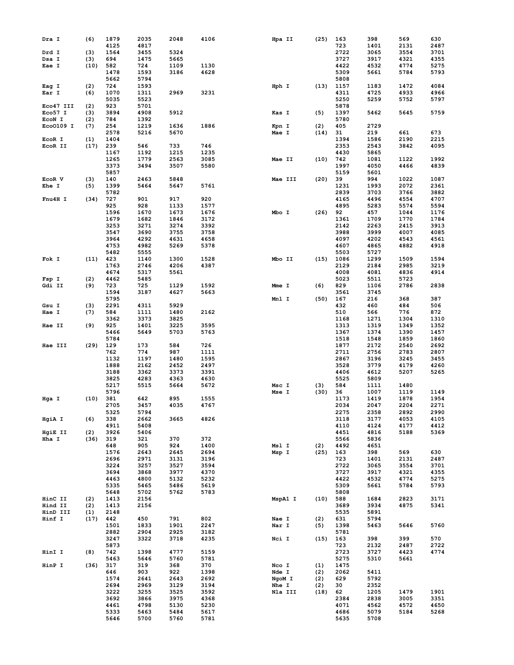| Dra I        | (6)  | 1879         | 2035         | 2048         | 4106         | Hpa II  | (25) | 163          | 398          | 569  | 630  |
|--------------|------|--------------|--------------|--------------|--------------|---------|------|--------------|--------------|------|------|
|              |      | 4125         | 4817         |              |              |         |      | 723          | 1401         | 2131 | 2487 |
|              |      |              |              |              |              |         |      |              |              |      |      |
| Drd I        | (3)  | 1564         | 3455         | 5324         |              |         |      | 2722         | 3065         | 3554 | 3701 |
| Dsa I        | (3)  | 694          | 1475         | 5665         |              |         |      | 3727         | 3917         | 4321 | 4355 |
| Eae I        | (10) | 582          | 724          | 1109         | 1130         |         |      | 4422         | 4532         | 4774 | 5275 |
|              |      | 1478         | 1593         | 3186         | 4628         |         |      | 5309         | 5661         | 5784 | 5793 |
|              |      | 5662         | 5794         |              |              |         |      | 5808         |              |      |      |
|              |      |              |              |              |              | Hph I   |      |              |              | 1472 |      |
| Eag I        | (2)  | 724          | 1593         |              |              |         | (13) | 1157         | 1183         |      | 4084 |
| Ear I        | (6)  | 1070         | 1311         | 2969         | 3231         |         |      | 4311         | 4725         | 4933 | 4966 |
|              |      | 5035         | 5523         |              |              |         |      | 5250         | 5259         | 5752 | 5797 |
| Eco47 III    | (2)  | 923          | 5701         |              |              |         |      | 5878         |              |      |      |
| Eco57 I      | (3)  | 3894         | 4908         | 5912         |              | Kas I   | (5)  | 1397         | 5462         | 5645 | 5759 |
| ECON I       | (2)  | 784          | 1392         |              |              |         |      | 5780         |              |      |      |
|              |      |              |              |              |              |         |      |              |              |      |      |
| Eco0109 I    | (7)  | 254          | 1219         | 1636         | 1886         | Kpn I   | (2)  | 405          | 2729         |      |      |
|              |      | 2578         | 5216         | 5670         |              | Mae I   | (14) | 31           | 219          | 661  | 673  |
| EcoR I       | (1)  | 1404         |              |              |              |         |      | 1394         | 1586         | 2190 | 2215 |
| EcoR II      | (17) | 239          | 546          | 733          | 746          |         |      | 2353         | 2543         | 3842 | 4095 |
|              |      | 1167         | 1192         | 1215         | 1235         |         |      | 4430         | 5865         |      |      |
|              |      |              |              |              |              |         |      |              |              |      |      |
|              |      | 1265         | 1779         | 2563         | 3085         | Mae II  | (10) | 742          | 1081         | 1122 | 1992 |
|              |      | 3373         | 3494         | 3507         | 5580         |         |      | 1997         | 4050         | 4466 | 4839 |
|              |      | 5857         |              |              |              |         |      | 5159         | 5601         |      |      |
| EcoR V       | (3)  | 140          | 2463         | 5848         |              | Mae III | (20) | 39           | 994          | 1022 | 1087 |
| <b>Ehe I</b> | (5)  | 1399         | 5464         | 5647         | 5761         |         |      | 1231         | 1993         | 2072 | 2361 |
|              |      | 5782         |              |              |              |         |      | 2839         | 3703         | 3766 | 3882 |
|              |      |              |              |              | 920          |         |      |              |              |      |      |
| Fnu4H I      | (34) | 727          | 901          | 917          |              |         |      | 4165         | 4496         | 4554 | 4707 |
|              |      | 925          | 928          | 1133         | 1577         |         |      | 4895         | 5283         | 5574 | 5594 |
|              |      | 1596         | 1670         | 1673         | 1676         | Mbo I   | (26) | 92           | 457          | 1044 | 1176 |
|              |      | 1679         | 1682         | 1846         | 3172         |         |      | 1361         | 1709         | 1770 | 1784 |
|              |      | 3253         | 3271         | 3274         | 3392         |         |      | 2142         | 2263         | 2415 | 3913 |
|              |      | 3547         | 3690         | 3755         | 3758         |         |      | 3988         | 3999         | 4007 | 4085 |
|              |      |              |              |              |              |         |      |              |              |      |      |
|              |      | 3964         | 4292         | 4631         | 4658         |         |      | 4097         | 4202         | 4543 | 4561 |
|              |      | 4753         | 4982         | 5269         | 5378         |         |      | 4607         | 4865         | 4882 | 4918 |
|              |      | 5482         | 5555         |              |              |         |      | 5503         | 5727         |      |      |
| Fok I        | (11) | 423          | 1140         | 1300         | 1528         | Mbo II  | (15) | 1086         | 1299         | 1509 | 1594 |
|              |      | 1763         | 2746         | 4206         | 4387         |         |      | 2129         | 2184         | 2985 | 3219 |
|              |      | 4674         |              |              |              |         |      |              |              |      |      |
|              |      |              | 5317         | 5561         |              |         |      | 4008         | 4081         | 4836 | 4914 |
| Fsp I        | (2)  | 4462         | 5485         |              |              |         |      | 5023         | 5511         | 5723 |      |
| Gdi II       | (9)  | 723          | 725          | 1129         | 1592         | Mme I   | (6)  | 829          | 1106         | 2786 | 2838 |
|              |      | 1594         | 3187         | 4627         | 5663         |         |      | 3561         | 3745         |      |      |
|              |      | 5795         |              |              |              | Mnl I   | (50) | 167          | 216          | 368  | 387  |
| Gsu I        | (3)  | 2291         | 4311         | 5929         |              |         |      | 432          | 460          | 484  | 506  |
|              |      |              |              |              |              |         |      |              |              |      | 872  |
| Hae I        | (7)  | 584          | 1111         | 1480         | 2162         |         |      | 510          | 566          | 776  |      |
|              |      | 3362         | 3373         | 3825         |              |         |      | 1168         | 1271         | 1304 | 1310 |
| Hae II       | (9)  | 925          | 1401         | 3225         | 3595         |         |      | 1313         | 1319         | 1349 | 1352 |
|              |      | 5466         | 5649         | 5703         | 5763         |         |      | 1367         | 1374         | 1390 | 1457 |
|              |      | 5784         |              |              |              |         |      | 1518         | 1548         | 1859 | 1860 |
| Hae III      | (29) | 129          | 173          | 584          | 726          |         |      | 1877         | 2172         | 2540 | 2692 |
|              |      |              |              |              |              |         |      |              |              |      |      |
|              |      | 762          | 774          | 987          | 1111         |         |      | 2711         | 2756         | 2783 | 2807 |
|              |      | 1132         | 1197         | 1480         | 1595         |         |      | 2867         | 3196         | 3245 | 3455 |
|              |      | 1888         | 2162         | 2452         | 2497         |         |      | 3528         | 3779         | 4179 | 4260 |
|              |      | 3188         | 3362         | 3373         | 3391         |         |      | 4406         | 4612         | 5207 | 5265 |
|              |      | 3825         | 4283         | 4363         | 4630         |         |      | 5525         | 5809         |      |      |
|              |      | 5217         | 5515         | 5664         | 5672         | Msc I   | (3)  | 584          | 1111         | 1480 |      |
|              |      |              |              |              |              |         |      |              |              |      |      |
|              |      | 5796         |              |              |              | Mse I   | (30) | 36           | 1007         | 1119 | 1149 |
| Hga I        | (10) | 381          | 642          | 895          | 1555         |         |      | 1173         | 1419         | 1878 | 1954 |
|              |      | 2705         | 3457         | 4035         | 4767         |         |      | 2034         | 2047         | 2204 | 2271 |
|              |      | 5325         | 5794         |              |              |         |      | 2275         | 2358         | 2892 | 2990 |
| HgiA I       | (6)  | 338          | 2662         | 3665         | 4826         |         |      | 3118         | 3177         | 4053 | 4105 |
|              |      | 4911         | 5408         |              |              |         |      | 4110         | 4124         | 4177 | 4412 |
| HgiE II      | (2)  | 3926         | 5406         |              |              |         |      | 4451         | 4816         | 5188 | 5369 |
|              |      |              |              |              |              |         |      |              |              |      |      |
| Hha I        | (36) | 319          | 321          | 370          | 372          |         |      | 5566         | 5836         |      |      |
|              |      | 648          | 905          | 924          | 1400         | Msl I   | (2)  | 4492         | 4651         |      |      |
|              |      | 1576         | 2643         | 2645         | 2694         | Msp I   | (25) | 163          | 398          | 569  | 630  |
|              |      | 2696         | 2971         | 3131         | 3196         |         |      | 723          | 1401         | 2131 | 2487 |
|              |      | 3224         | 3257         | 3527         | 3594         |         |      | 2722         | 3065         | 3554 | 3701 |
|              |      | 3694         | 3868         | 3977         | 4370         |         |      | 3727         | 3917         | 4321 | 4355 |
|              |      | 4463         | 4800         | 5132         | 5232         |         |      | 4422         | 4532         | 4774 | 5275 |
|              |      |              |              |              |              |         |      |              |              |      |      |
|              |      | 5335         | 5465         | 5486         | 5619         |         |      | 5309         | 5661         | 5784 | 5793 |
|              |      | 5648         | 5702         | 5762         | 5783         |         |      | 5808         |              |      |      |
| HinC II      | (2)  | 1413         | 2156         |              |              | MspA1 I | (10) | 588          | 1684         | 2823 | 3171 |
| Hind II      | (2)  | 1413         | 2156         |              |              |         |      | 3689         | 3934         | 4875 | 5341 |
| HinD III     | (1)  | 2148         |              |              |              |         |      | 5535         | 5891         |      |      |
| Hinf I       | (17) | 442          | 450          | 791          | 802          | Nae I   |      | 631          | 5794         |      |      |
|              |      |              |              |              |              |         | (2)  |              |              |      |      |
|              |      | 1501         | 1833         | 1901         | 2247         | Nar I   | (5)  | 1398         | 5463         | 5646 | 5760 |
|              |      | 2882         | 2904         | 2925         | 3182         |         |      | 5781         |              |      |      |
|              |      | 3247         | 3322         | 3718         | 4235         | Nci I   | (15) | 163          | 398          | 399  | 570  |
|              |      | 5873         |              |              |              |         |      | 723          | 2132         | 2487 | 2722 |
| HinI I       | (8)  | 742          | 1398         | 4777         | 5159         |         |      | 2723         | 3727         | 4423 | 4774 |
|              |      | 5463         | 5646         |              |              |         |      | 5275         | 5310         | 5661 |      |
|              |      |              |              | 5760         | 5781         |         |      |              |              |      |      |
| HinP I       | (36) | 317          | 319          | 368          | 370          | Nco I   | (1)  | 1475         |              |      |      |
|              |      | 646          | 903          | 922          | 1398         | Nde I   | (2)  | 2062         | 5411         |      |      |
|              |      | 1574         | 2641         | 2643         | 2692         | NgoM I  | (2)  | 629          | 5792         |      |      |
|              |      | 2694         | 2969         | 3129         | 3194         | Nhe I   | (2)  | 30           | 2352         |      |      |
|              |      | 3222         | 3255         | 3525         | 3592         | Nla III | (18) | 62           | 1205         | 1479 | 1901 |
|              |      |              |              |              |              |         |      |              |              |      |      |
|              |      | 3692         | 3866         | 3975         | 4368         |         |      | 2384         | 2838         | 3005 | 3351 |
|              |      | 4461         | 4798         | 5130         | 5230         |         |      | 4071         | 4562         | 4572 | 4650 |
|              |      |              |              |              |              |         |      |              |              |      |      |
|              |      | 5333<br>5646 | 5463<br>5700 | 5484<br>5760 | 5617<br>5781 |         |      | 4686<br>5635 | 5079<br>5708 | 5184 | 5268 |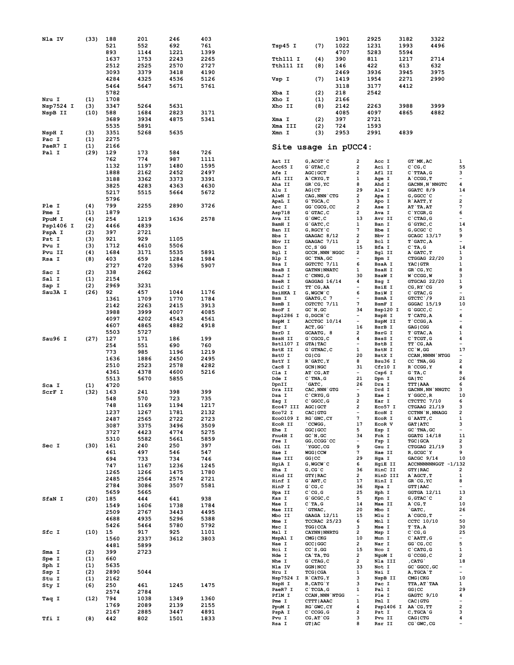| Nla IV           | (33)        | 188<br>521<br>893<br>1637<br>2512 | 201<br>552<br>1144<br>1753<br>2525 | 246<br>692<br>1221<br>2243<br>2570 | 403<br>761<br>1399<br>2265<br>2727 | Tsp45 I<br>Tth111 I<br>Tth111 II   | (7)<br>(4)<br>(8)                                         | 1901<br>1022<br>4707<br>390<br>146 |                                | 2925<br>1231<br>5283<br>811<br>422 | 3182<br>1993<br>5594<br>1217<br>613 | 3322<br>4496<br>2714<br>632          |                                                      |
|------------------|-------------|-----------------------------------|------------------------------------|------------------------------------|------------------------------------|------------------------------------|-----------------------------------------------------------|------------------------------------|--------------------------------|------------------------------------|-------------------------------------|--------------------------------------|------------------------------------------------------|
|                  |             | 3093                              | 3379                               | 3418                               | 4190                               |                                    |                                                           | 2469                               |                                | 3936                               | 3945                                | 3975                                 |                                                      |
|                  |             | 4284<br>5464                      | 4325<br>5647                       | 4536<br>5671                       | 5126<br>5761                       | Vsp I                              | (7)                                                       | 1419<br>3118                       |                                | 1954<br>3177                       | 2271<br>4412                        | 2990                                 |                                                      |
|                  |             | 5782                              |                                    |                                    |                                    | Xba I                              | (2)                                                       | 218                                |                                | 2542                               |                                     |                                      |                                                      |
| Nru I            | (1)         | 1708                              |                                    |                                    |                                    | Xho I                              | (1)                                                       | 2166                               |                                |                                    |                                     |                                      |                                                      |
| Nsp7524 I        | (3)<br>(10) | 3347<br>588                       | 5264<br>1684                       | 5631<br>2823                       | 3171                               | Xho II                             | (8)                                                       | 2142<br>4085                       |                                | 2263<br>4097                       | 3988<br>4865                        | 3999<br>4882                         |                                                      |
| NspB II          |             | 3689                              | 3934                               | 4875                               | 5341                               | Xma I                              | (2)                                                       | 397                                |                                | 2721                               |                                     |                                      |                                                      |
|                  |             | 5535                              | 5891                               |                                    |                                    | Xma III                            | (2)                                                       | 724                                |                                | 1593                               |                                     |                                      |                                                      |
| NspH I           | (3)         | 3351                              | 5268                               | 5635                               |                                    | Xmn I                              | (3)                                                       | 2953                               |                                | 2991                               | 4839                                |                                      |                                                      |
| Pac I<br>PaeR7 I | (1)         | 2275<br>2166                      |                                    |                                    |                                    |                                    |                                                           |                                    |                                |                                    |                                     |                                      |                                                      |
| Pal I            | (1)<br>(29) | 129                               | 173                                | 584                                | 726                                | Site usage in pUCC4:               |                                                           |                                    |                                |                                    |                                     |                                      |                                                      |
|                  |             | 762                               | 774                                | 987                                | 1111                               | Aat II                             | $G, ACGT$ $C$                                             |                                    | 2                              | Acc I                              |                                     | GT MK, AC                            | 1                                                    |
|                  |             | 1132                              | 1197                               | 1480                               | 1595                               | Acc65 I                            | G`GTAC, C                                                 |                                    | 2                              | Aci I                              | $C^{\dagger}CG, C$                  |                                      | 55                                                   |
|                  |             | 1888                              | 2162                               | 2452                               | 2497                               | <b>Afe I</b><br>Afl III            | <b>AGC   GCT</b><br>A CRYG, T                             |                                    | 2<br>1                         | Afl II<br>Age I                    |                                     | $C$ TTAA, $G$<br>A CCGG, T           | 3<br>$\overline{\phantom{a}}$                        |
|                  |             | 3188<br>3825                      | 3362<br>4283                       | 3373<br>4363                       | 3391<br>4630                       | Aha II                             | GR`CG, YC                                                 |                                    | 8                              | Ahd I                              |                                     | <b>GACNN, N`NNGTC</b>                | $\pmb{4}$                                            |
|                  |             | 5217                              | 5515                               | 5664                               | 5672                               | Alu I                              | AG CT                                                     |                                    | 29                             | Alw I                              |                                     | GGATC 8/9                            | 14                                                   |
|                  |             | 5796                              |                                    |                                    |                                    | AlwN I<br>ApaL I                   | CAG, NNN CTG<br>$G$ <sup><math>\cdot</math></sup> TGCA, C |                                    | 2<br>з                         | Apa I<br>Apo I                     |                                     | G, GGCC `C<br>R`AATT, Y              | $\overline{\phantom{a}}$<br>$\overline{\mathbf{2}}$  |
| Ple I            | (4)         | 799                               | 2255                               | 2890                               | 3726                               | Asc I                              | GG`CGCG, CC                                               |                                    | 2                              | Ase I                              |                                     | AT`TA, AT                            | $\boldsymbol{7}$                                     |
| Pme I<br>PpuM I  | (1)<br>(4)  | 1879<br>254                       | 1219                               | 1636                               | 2578                               | Asp718<br>Ava II                   | $G$ $G$ TAC, $C$<br>$G$ $GWC$ , $C$                       |                                    | 2<br>13                        | Ava I<br>Avr II                    |                                     | $C$ $YCGR, G$<br>$C$ $CTAG$ , $G$    | 6<br>$\overline{\phantom{a}}$                        |
| Psp1406 I        | (2)         | 4466                              | 4839                               |                                    |                                    | BamH I                             | $G$ $GATC$ , $C$                                          |                                    | 1                              | Ban I                              |                                     | $G$ $GYRC$ , $C$                     | 14                                                   |
| PspA I           | (2)         | 397                               | 2721                               |                                    |                                    | Ban II<br>Bbs I                    | G, RGCY `C<br>GAAGAC 8/12                                 |                                    | 7<br>2                         | Bbe I<br>Bbv I                     |                                     | $G, GCGC$ $C$<br><b>GCAGC 13/17</b>  | 5<br>9                                               |
| Pst I            | (3)         | 921                               | 929                                | 1105                               |                                    | Bbv II                             | GAAGAC 7/11                                               |                                    | 2                              | Bcl I                              |                                     | T`GATC, A                            | $\overline{\phantom{a}}$                             |
| Pvu I            | (3)         | 1712<br>1684                      | 4610                               | 5506                               |                                    | Bcn I                              | $CC, S$ GG                                                |                                    | 15                             | Bfa I                              | $C$ TA, G                           |                                      | 14                                                   |
| Pvu II<br>Rsa I  | (4)<br>(8)  | 403                               | 3171<br>659                        | 5535<br>1284                       | 5891<br>1984                       | Bgl I<br>Blp I                     | <b>GCCN, NNN NGGC</b><br>GC `TNA, GC                      |                                    | 2<br>$\overline{\phantom{a}}$  | Bgl II<br>Bpm I                    |                                     | A GATC, T<br>CTGGAG 22/20            | 1<br>3                                               |
|                  |             | 2727                              | 4720                               | 5396                               | 5907                               | Bsa I                              | GGTCTC 7/11                                               |                                    | 6                              | <b>BsaA I</b>                      | <b>YAC GTR</b>                      |                                      | 1                                                    |
| Sac I            | (2)         | 338                               | 2662                               |                                    |                                    | BsaB I<br>BsaJ I                   | <b>GATNN   NNATC</b><br>$C$ CNNG, $G$                     |                                    | 1<br>30                        | <b>BsaH I</b><br><b>BsaW I</b>     |                                     | GR`CG, YC<br>$W$ $CCGG, W$           | 8<br>з                                               |
| Sal I            | (1)         | 2154                              |                                    |                                    |                                    | <b>BseR I</b>                      | GAGGAG 16/14                                              |                                    | 4                              | Bsg I                              |                                     | GTGCAG 22/20                         | 1                                                    |
| Sap I<br>Sau3A I | (2)<br>(26) | 2969<br>92                        | 3231<br>457                        | 1044                               | 1176                               | BsiC I<br><b>BsiHKA I</b>          | TT CG, AA<br>G, WGCW `C                                   |                                    | $\overline{\phantom{a}}$<br>6  | <b>BsiE I</b><br>BsiW I            |                                     | CG, RY `CG<br>$C$ GTAC, $G$          | 9<br>$\overline{\phantom{a}}$                        |
|                  |             | 1361                              | 1709                               | 1770                               | 1784                               | Bsm I                              | GAATG, C 7                                                |                                    |                                | BsmA I                             |                                     | GTCTC 79                             | 21                                                   |
|                  |             | 2142                              | 2263                               | 2415                               | 3913                               | BsmB I                             | CGTCTC 7/11                                               |                                    | 7<br>34                        | BsmF I                             |                                     | $GGGAC$ 15/19                        | 10<br>$\overline{\phantom{a}}$                       |
|                  |             | 3988                              | 3999                               | 4007                               | 4085                               | BsoF I<br>Bsp1286 I                | $GC$ $N$ , $GC$<br>$G, DGCH$ $C$                          |                                    | $\overline{\phantom{a}}$       | Bsp120 I<br>BspH I                 |                                     | $G$ $GC$ , $C$<br>$T$ $CATG, A$      | 4                                                    |
|                  |             | 4097<br>4607                      | 4202<br>4865                       | 4543<br>4882                       | 4561<br>4918                       | BspM I                             | ACCTGC 10/14                                              |                                    | $\overline{\phantom{0}}$       | BspM II                            |                                     | $T$ $CCGG, A$                        | $\overline{\phantom{a}}$                             |
|                  |             | 5503                              | 5727                               |                                    |                                    | Bsr I<br>BsrD I                    | ACT, GG<br>GCAATG, 8                                      |                                    | 16<br>2                        | BsrB I<br>BsrG I                   |                                     | GAG   CGG<br>T GTAC, A               | 4<br>1                                               |
| Sau96 I          | (27)        | 127                               | 171                                | 186                                | 199                                | <b>BssH II</b>                     | $G$ $CGCG, C$                                             |                                    | 4                              | BssS I                             |                                     | $C$ TCGT, $G$                        | 4                                                    |
|                  |             | 254                               | 551                                | 690                                | 760                                | <b>Bst1107 I</b><br><b>BstE II</b> | <b>GTA   TAC</b><br>$G$ GTNAC, $C$                        |                                    | 1                              | BstB I<br><b>BstN I</b>            |                                     | TT CG, AA<br>$CC^W$ , GG             | $\overline{\phantom{a}}$<br>17                       |
|                  |             | 773                               | 985                                | 1196                               | 1219                               | BstU I                             | CG CG                                                     |                                    | 20                             | BstX I                             |                                     | <b>CCAN, NNNN NTGG</b>               | $\overline{\phantom{a}}$                             |
|                  |             | 1636<br>2510                      | 1886<br>2523                       | 2450<br>2578                       | 2495<br>4282                       | BstY I<br>Cac8 I                   | R GATC, Y<br><b>GCN   NGC</b>                             |                                    | 8<br>31                        | Bsu36 I<br>Cfr10 I                 |                                     | CC `TNA, GG<br>$R$ $CCGG, Y$         | 2<br>4                                               |
|                  |             | 4361                              | 4378                               | 4600                               | 5216                               | Cla I                              | $AT$ $CG, AT$                                             |                                    | $\overline{\phantom{a}}$       | Csp6 I                             | $G$ TA, $C$                         |                                      | 8                                                    |
|                  |             | 5513                              | 5670                               | 5855                               |                                    | Dde I                              | $C$ TNA, $G$                                              |                                    | 21                             | Dpn I                              | GA   TC                             |                                      | 26                                                   |
| Sca I            | (1)         | 4720                              |                                    |                                    |                                    | DpnII<br>Dra III                   | `GATC,<br>CAC, NNN GTG                                    |                                    | 26<br>$\overline{\phantom{a}}$ | Dra I<br>Drd I                     | <b>TTT   AAA</b>                    | <b>GACNN, NN NNGTC</b>               | 6<br>з                                               |
| ScrF I           | (32)        | 163<br>548                        | 241<br>570                         | 398<br>723                         | 399<br>735                         | Dsa I                              | $C$ $CRYG$ , $G$                                          |                                    | з                              | Eae I                              |                                     | $Y$ $GGCC$ , $R$                     | 10                                                   |
|                  |             | 748                               | 1169                               | 1194                               | 1217                               | Eag I<br>Eco47 III                 | C GGCC, G<br><b>AGC   GCT</b>                             |                                    | 2<br>2                         | Ear I<br>Eco57 I                   |                                     | CTCTTC 7/10<br>CTGAAG 21/19          | 6<br>з                                               |
|                  |             | 1237                              | 1267                               | 1781                               | 2132                               | Eco72 I                            | <b>CAC   GTG</b>                                          |                                    |                                | EcoN I                             |                                     | CCTNN `N, NNAGG                      | 2                                                    |
|                  |             | 2487                              | 2565                               | 2722                               | 2723                               | Eco0109 I<br>EcoR II               | RG GNC, CY<br>CCWGG,                                      |                                    | 7<br>17                        | EcoR I<br>EcoR V                   |                                     | $G$ AATT, $C$<br><b>GAT   ATC</b>    | ${\bf 1}$<br>з                                       |
|                  |             | 3087<br>3727                      | 3375<br>4423                       | 3496<br>4774                       | 3509<br>5275                       | Ehe I                              | GGC   GCC                                                 |                                    | 5                              | Esp I                              |                                     | GC `TNA, GC                          | $\overline{\phantom{a}}$                             |
|                  |             | 5310                              | 5582                               | 5661                               | 5859                               | Fnu4H I<br>Fse I                   | GC'N, GC<br>GG, CCGG `CC                                  |                                    | 34<br>$\overline{\phantom{a}}$ | Fok I<br>Fsp I                     |                                     | GGATG $14/18$<br><b>TGC   GCA</b>    | 11<br>2                                              |
| Sec I            | (30)        | 161                               | 240                                | 250                                | 397                                | Gdi II                             | YGGC, CG                                                  |                                    | 9                              | Gsu I                              |                                     | CTGGAG 21/19                         | з                                                    |
|                  |             | 461<br>694                        | 497<br>733                         | 546<br>734                         | 547<br>746                         | Hae I<br>Hae III                   | <b>WGG   CCW</b><br>GG CC                                 |                                    | 7<br>29                        | Hae II<br>Hga I                    |                                     | R, GCGC `Y<br>GACGC 9/14             | 9<br>10                                              |
|                  |             | 747                               | 1167                               | 1236                               | 1245                               | HgiA I                             | G, WGCW `C                                                |                                    | 6                              | HgiE II                            |                                     | ACCNNNNNNGGT -1/132                  |                                                      |
|                  |             | 1265                              | 1266                               | 1475                               | 1780                               | Hha I                              | $G, CG$ $C$<br><b>GTY   RAC</b>                           |                                    | 36<br>$\overline{2}$           | HinC II                            |                                     | <b>GTY   RAC</b>                     | 2<br>1                                               |
|                  |             | 2485                              | 2564                               | 2574                               | 2721                               | Hind II<br>Hinf I                  | $G$ `ANT, $C$                                             |                                    | 17                             | HinD III<br>HinI I                 |                                     | A AGCT, T<br>GR`CG, YC               | 8                                                    |
|                  |             | 2784                              | 3086                               | 3507                               | 5581                               | HinP I                             | $G^{\dagger}CG, C$                                        |                                    | 36                             | Hpa I                              |                                     | <b>GTT   AAC</b>                     | $\overline{\phantom{a}}$                             |
| SfaN I           | (20)        | 5659<br>185                       | 5665<br>444                        | 641                                | 938                                | Hpa II<br>Kas I                    | $C^{\dagger}CG, G$<br>G`GCGC, C                           |                                    | 25<br>5                        | Hph I<br>Kpn I                     |                                     | GGTGA 12/11<br>G, GTAC `C            | 13<br>2                                              |
|                  |             | 1549                              | 1606                               | 1738                               | 1784                               | Mae I                              | $C^T A, G$                                                |                                    | 14                             | Mae II                             | $A^C$ <sub>CG</sub> , $T$           |                                      | 10                                                   |
|                  |             | 2509                              | 2767                               | 3443                               | 4495                               | Mae III<br>Mbo II                  | `GTNAC,<br>GAAGA 12/11                                    |                                    | 20<br>15                       | Mbo I<br>Mlu I                     | `GATC,                              | A CGCG, T                            | 26<br>$\overline{\phantom{a}}$                       |
|                  |             | 4688                              | 4935                               | 5296                               | 5388                               | Mme I                              | TCCRAC 25/23                                              |                                    | 6                              | Mnl I                              |                                     | CCTC 10/10                           | 50                                                   |
| Sfc I            | (10)        | 5426<br>15                        | 5464<br>917                        | 5780<br>925                        | 5792<br>1101                       | Msc I<br>Msl I                     | <b>TGG   CCA</b><br><b>CAYNN   NNRTG</b>                  |                                    | з<br>2                         | Mse I<br>Msp I                     | $T$ TA, A<br>$C^{\dagger}CG, G$     |                                      | 30<br>25                                             |
|                  |             | 1560                              | 2337                               | 3612                               | 3803                               | MspA1 I                            | CMG   CKG                                                 |                                    | 10                             | Mun I                              |                                     | C AATT, G                            | $\overline{\phantom{a}}$                             |
|                  |             | 4481                              | 5899                               |                                    |                                    | Nae I                              | GCC   GGC                                                 |                                    | 2                              | Nar I                              |                                     | GG `CG, CC                           | 5                                                    |
| Sma I            | (2)         | 399                               | 2723                               |                                    |                                    | Nci I<br>Nde I                     | $CC$ `S, GG<br>CA`TA, TG                                  |                                    | 15<br>2                        | Nco I<br>NgoM I                    |                                     | $C$ $CATG$ , $G$<br>$G$ $CCGG$ , $C$ | 1<br>$\overline{\mathbf{2}}$                         |
| Spe I<br>Sph I   | (1)<br>(1)  | 660<br>5635                       |                                    |                                    |                                    | Nhe I                              | $G$ $CTAG$ , $C$                                          |                                    | $\overline{2}$                 | Nla III                            | , CATG`                             |                                      | 18                                                   |
| Ssp I            | (2)         | 2890                              | 5044                               |                                    |                                    | Nla IV<br>Nru I                    | <b>GGN   NCC</b><br><b>TCG   CGA</b>                      |                                    | 33<br>1                        | Not I<br>Nsi I                     |                                     | GC `GGCC, GC<br>A, TGCA`T            | $\overline{\phantom{a}}$<br>$\overline{\phantom{a}}$ |
| Stu I            | (1)         | 2162                              |                                    |                                    |                                    | Nsp7524 I                          | R CATG, Y                                                 |                                    | з                              | NspB II                            | CMG   CKG                           |                                      | 10                                                   |
| Sty I            | (6)         | 250                               | 461                                | 1245                               | 1475                               | NspH I<br>PaeR7 I                  | R, CATG`Y<br>$C$ TCGA, G                                  |                                    | з<br>1                         | Pac I<br>Pal I                     | GG   CC                             | <b>TTA, AT`TAA</b>                   | 1<br>29                                              |
| Taq I            | (12)        | 2574<br>794                       | 2784<br>1038                       | 1349                               | 1360                               | PflM I                             | <b>CCAN, NNN NTGG</b>                                     |                                    | $\overline{\phantom{a}}$       | Ple I                              |                                     | GAGTC 9/10                           | 4                                                    |
|                  |             | 1769                              | 2089                               | 2139                               | 2155                               | Pme I<br>PpuM I                    | CTTT   AAAC<br>RG GWC, CY                                 |                                    | 1<br>4                         | Pml I<br>Psp1406 I                 |                                     | CAC   GTG<br>AA`CG, TT               | $\overline{\phantom{a}}$<br>$\overline{\mathbf{2}}$  |
|                  |             | 2167                              | 2885                               | 3447                               | 4891                               | PspA I                             | $C$ $CCGG, G$                                             |                                    | 2                              | Pst I                              |                                     | $C$ , $TGCA$ $G$                     | з                                                    |
| Tfi I            | (8)         | 442                               | 802                                | 1501                               | 1833                               | Pvu I                              | $CG, AT \text{ }^{\circ} CG$                              |                                    | з                              | Pvu II                             | CAG   CTG                           |                                      | 4                                                    |